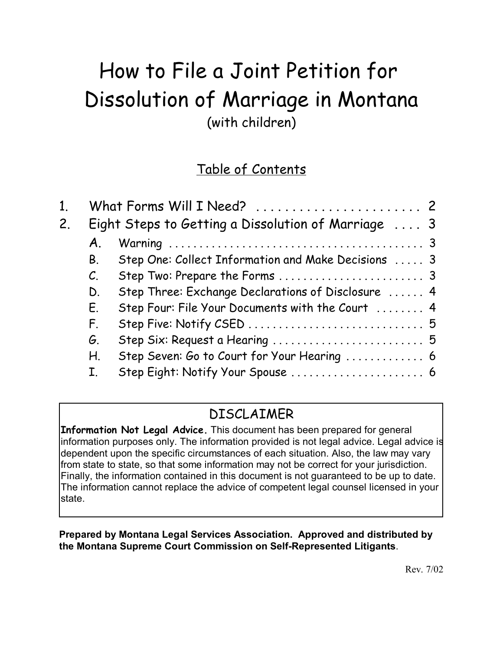# How to File a Joint Petition for Dissolution of Marriage in Montana (with children)

# Table of Contents

| 1. |                                                     | What Forms Will I Need?  2                          |
|----|-----------------------------------------------------|-----------------------------------------------------|
| 2. | Eight Steps to Getting a Dissolution of Marriage  3 |                                                     |
|    | A.                                                  |                                                     |
|    | Β.                                                  | Step One: Collect Information and Make Decisions  3 |
|    | $\mathcal{C}$ .                                     |                                                     |
|    | D.                                                  | Step Three: Exchange Declarations of Disclosure  4  |
|    | Е.                                                  | Step Four: File Your Documents with the Court  4    |
|    | F.                                                  |                                                     |
|    | G.                                                  | Step Six: Request a Hearing  5                      |
|    | Н.                                                  | Step Seven: Go to Court for Your Hearing  6         |
|    |                                                     | Step Eight: Notify Your Spouse  6                   |

# DISCLAIMER

**Information Not Legal Advice.** This document has been prepared for general information purposes only. The information provided is not legal advice. Legal advice is dependent upon the specific circumstances of each situation. Also, the law may vary from state to state, so that some information may not be correct for your jurisdiction. Finally, the information contained in this document is not guaranteed to be up to date. The information cannot replace the advice of competent legal counsel licensed in your state.

#### **Prepared by Montana Legal Services Association. Approved and distributed by the Montana Supreme Court Commission on Self-Represented Litigants**.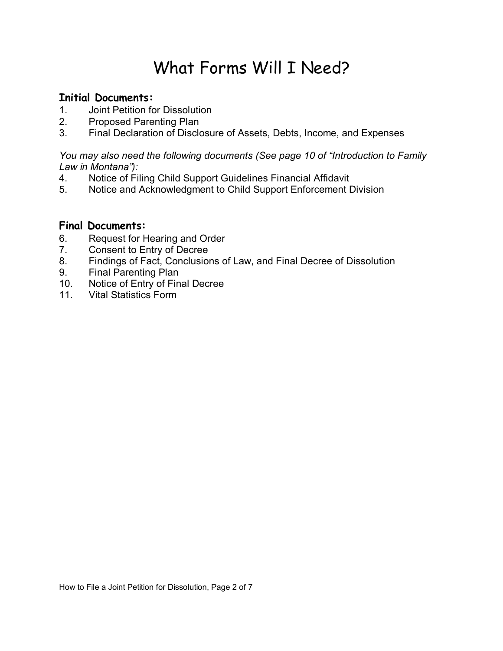# What Forms Will I Need?

#### **Initial Documents:**

- 1. Joint Petition for Dissolution
- 2. Proposed Parenting Plan
- 3. Final Declaration of Disclosure of Assets, Debts, Income, and Expenses

#### *You may also need the following documents (See page 10 of "Introduction to Family Law in Montanaî):*

- 4. Notice of Filing Child Support Guidelines Financial Affidavit
- 5. Notice and Acknowledgment to Child Support Enforcement Division

#### **Final Documents:**

- 6. Request for Hearing and Order
- 7. Consent to Entry of Decree
- 8. Findings of Fact, Conclusions of Law, and Final Decree of Dissolution
- 9. Final Parenting Plan
- 10. Notice of Entry of Final Decree
- 11. Vital Statistics Form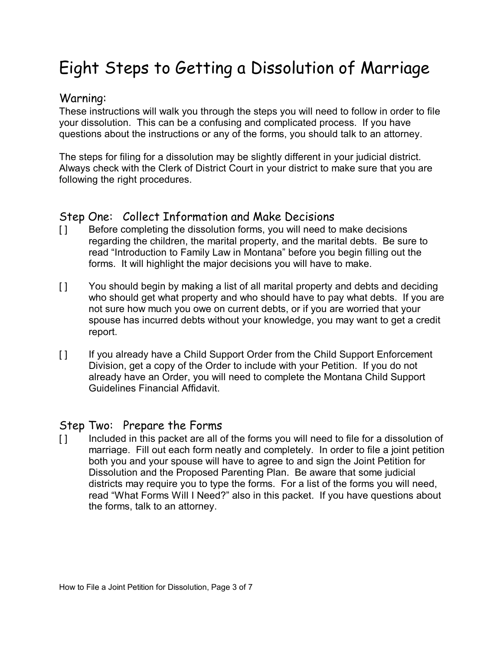# Eight Steps to Getting a Dissolution of Marriage

#### Warning:

These instructions will walk you through the steps you will need to follow in order to file your dissolution. This can be a confusing and complicated process. If you have questions about the instructions or any of the forms, you should talk to an attorney.

The steps for filing for a dissolution may be slightly different in your judicial district. Always check with the Clerk of District Court in your district to make sure that you are following the right procedures.

#### Step One: Collect Information and Make Decisions

- [ ] Before completing the dissolution forms, you will need to make decisions regarding the children, the marital property, and the marital debts. Be sure to read "Introduction to Family Law in Montana" before you begin filling out the forms. It will highlight the major decisions you will have to make.
- [ ] You should begin by making a list of all marital property and debts and deciding who should get what property and who should have to pay what debts. If you are not sure how much you owe on current debts, or if you are worried that your spouse has incurred debts without your knowledge, you may want to get a credit report.
- [1] If you already have a Child Support Order from the Child Support Enforcement Division, get a copy of the Order to include with your Petition. If you do not already have an Order, you will need to complete the Montana Child Support Guidelines Financial Affidavit.

#### Step Two: Prepare the Forms

[ ] Included in this packet are all of the forms you will need to file for a dissolution of marriage. Fill out each form neatly and completely. In order to file a joint petition both you and your spouse will have to agree to and sign the Joint Petition for Dissolution and the Proposed Parenting Plan. Be aware that some judicial districts may require you to type the forms. For a list of the forms you will need, read "What Forms Will I Need?" also in this packet. If you have questions about the forms, talk to an attorney.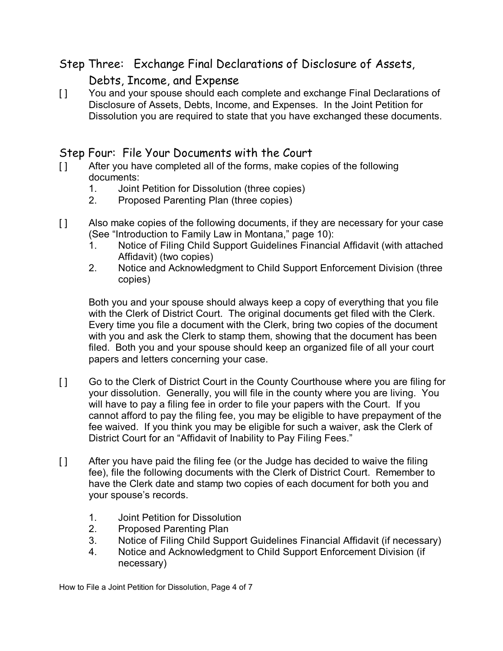## Step Three: Exchange Final Declarations of Disclosure of Assets,

## Debts, Income, and Expense

[ ] You and your spouse should each complete and exchange Final Declarations of Disclosure of Assets, Debts, Income, and Expenses. In the Joint Petition for Dissolution you are required to state that you have exchanged these documents.

### Step Four: File Your Documents with the Court

- [ ] After you have completed all of the forms, make copies of the following documents:
	- 1. Joint Petition for Dissolution (three copies)
	- 2. Proposed Parenting Plan (three copies)
- [ ] Also make copies of the following documents, if they are necessary for your case (See "Introduction to Family Law in Montana," page 10):
	- 1. Notice of Filing Child Support Guidelines Financial Affidavit (with attached Affidavit) (two copies)
	- 2. Notice and Acknowledgment to Child Support Enforcement Division (three copies)

Both you and your spouse should always keep a copy of everything that you file with the Clerk of District Court. The original documents get filed with the Clerk. Every time you file a document with the Clerk, bring two copies of the document with you and ask the Clerk to stamp them, showing that the document has been filed. Both you and your spouse should keep an organized file of all your court papers and letters concerning your case.

- [ ] Go to the Clerk of District Court in the County Courthouse where you are filing for your dissolution. Generally, you will file in the county where you are living. You will have to pay a filing fee in order to file your papers with the Court. If you cannot afford to pay the filing fee, you may be eligible to have prepayment of the fee waived. If you think you may be eligible for such a waiver, ask the Clerk of District Court for an "Affidavit of Inability to Pay Filing Fees."
- [ ] After you have paid the filing fee (or the Judge has decided to waive the filing fee), file the following documents with the Clerk of District Court. Remember to have the Clerk date and stamp two copies of each document for both you and your spouse's records.
	- 1. Joint Petition for Dissolution
	- 2. Proposed Parenting Plan
	- 3. Notice of Filing Child Support Guidelines Financial Affidavit (if necessary)
	- 4. Notice and Acknowledgment to Child Support Enforcement Division (if necessary)

How to File a Joint Petition for Dissolution, Page 4 of 7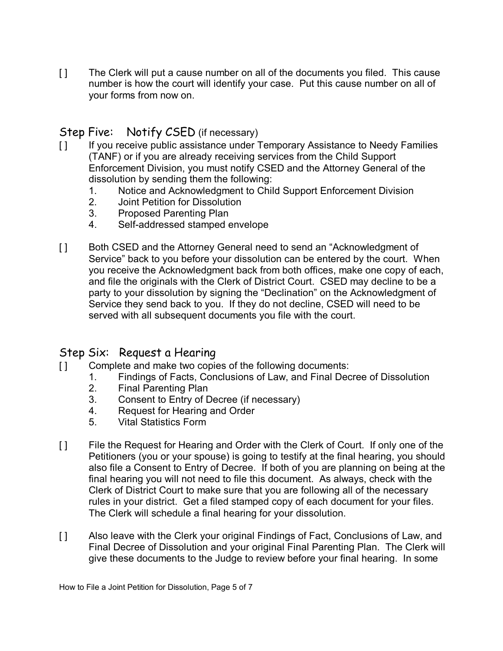[ ] The Clerk will put a cause number on all of the documents you filed. This cause number is how the court will identify your case. Put this cause number on all of your forms from now on.

## Step Five: Notify CSED (if necessary)

- [1] If you receive public assistance under Temporary Assistance to Needy Families (TANF) or if you are already receiving services from the Child Support Enforcement Division, you must notify CSED and the Attorney General of the dissolution by sending them the following:
	- 1. Notice and Acknowledgment to Child Support Enforcement Division
	- 2. Joint Petition for Dissolution
	- 3. Proposed Parenting Plan
	- 4. Self-addressed stamped envelope
- [ ] Both CSED and the Attorney General need to send an "Acknowledgment of Service" back to you before your dissolution can be entered by the court. When you receive the Acknowledgment back from both offices, make one copy of each, and file the originals with the Clerk of District Court. CSED may decline to be a party to your dissolution by signing the "Declination" on the Acknowledgment of Service they send back to you. If they do not decline, CSED will need to be served with all subsequent documents you file with the court.

#### Step Six: Request a Hearing

- [ ] Complete and make two copies of the following documents:
	- 1. Findings of Facts, Conclusions of Law, and Final Decree of Dissolution
		- 2. Final Parenting Plan
		- 3. Consent to Entry of Decree (if necessary)
		- 4. Request for Hearing and Order
		- 5. Vital Statistics Form
- [ ] File the Request for Hearing and Order with the Clerk of Court. If only one of the Petitioners (you or your spouse) is going to testify at the final hearing, you should also file a Consent to Entry of Decree. If both of you are planning on being at the final hearing you will not need to file this document. As always, check with the Clerk of District Court to make sure that you are following all of the necessary rules in your district. Get a filed stamped copy of each document for your files. The Clerk will schedule a final hearing for your dissolution.
- [ ] Also leave with the Clerk your original Findings of Fact, Conclusions of Law, and Final Decree of Dissolution and your original Final Parenting Plan. The Clerk will give these documents to the Judge to review before your final hearing. In some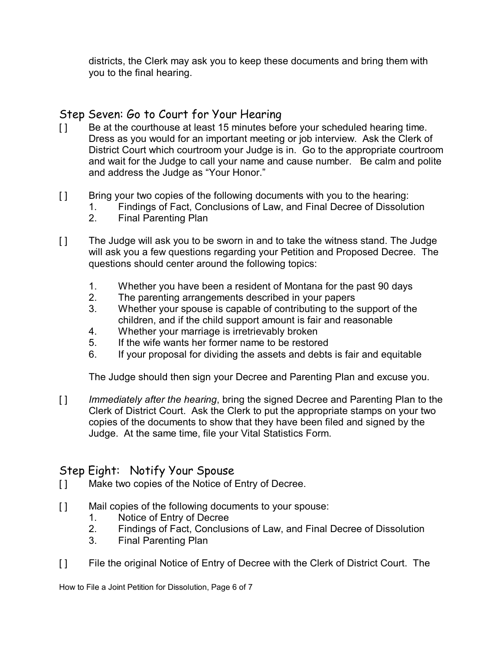districts, the Clerk may ask you to keep these documents and bring them with you to the final hearing.

## Step Seven: Go to Court for Your Hearing

- [1] Be at the courthouse at least 15 minutes before your scheduled hearing time. Dress as you would for an important meeting or job interview. Ask the Clerk of District Court which courtroom your Judge is in. Go to the appropriate courtroom and wait for the Judge to call your name and cause number. Be calm and polite and address the Judge as "Your Honor."
- [ ] Bring your two copies of the following documents with you to the hearing:
	- 1. Findings of Fact, Conclusions of Law, and Final Decree of Dissolution
		- 2. Final Parenting Plan
- [ ] The Judge will ask you to be sworn in and to take the witness stand. The Judge will ask you a few questions regarding your Petition and Proposed Decree. The questions should center around the following topics:
	- 1. Whether you have been a resident of Montana for the past 90 days
	- 2. The parenting arrangements described in your papers
	- 3. Whether your spouse is capable of contributing to the support of the children, and if the child support amount is fair and reasonable
	- 4. Whether your marriage is irretrievably broken
	- 5. If the wife wants her former name to be restored
	- 6. If your proposal for dividing the assets and debts is fair and equitable

The Judge should then sign your Decree and Parenting Plan and excuse you.

[ ] *Immediately after the hearing*, bring the signed Decree and Parenting Plan to the Clerk of District Court. Ask the Clerk to put the appropriate stamps on your two copies of the documents to show that they have been filed and signed by the Judge. At the same time, file your Vital Statistics Form.

### Step Eight: Notify Your Spouse

- [ ] Make two copies of the Notice of Entry of Decree.
- [ ] Mail copies of the following documents to your spouse:
	- 1. Notice of Entry of Decree
	- 2. Findings of Fact, Conclusions of Law, and Final Decree of Dissolution
	- 3. Final Parenting Plan
- [ ] File the original Notice of Entry of Decree with the Clerk of District Court. The

How to File a Joint Petition for Dissolution, Page 6 of 7